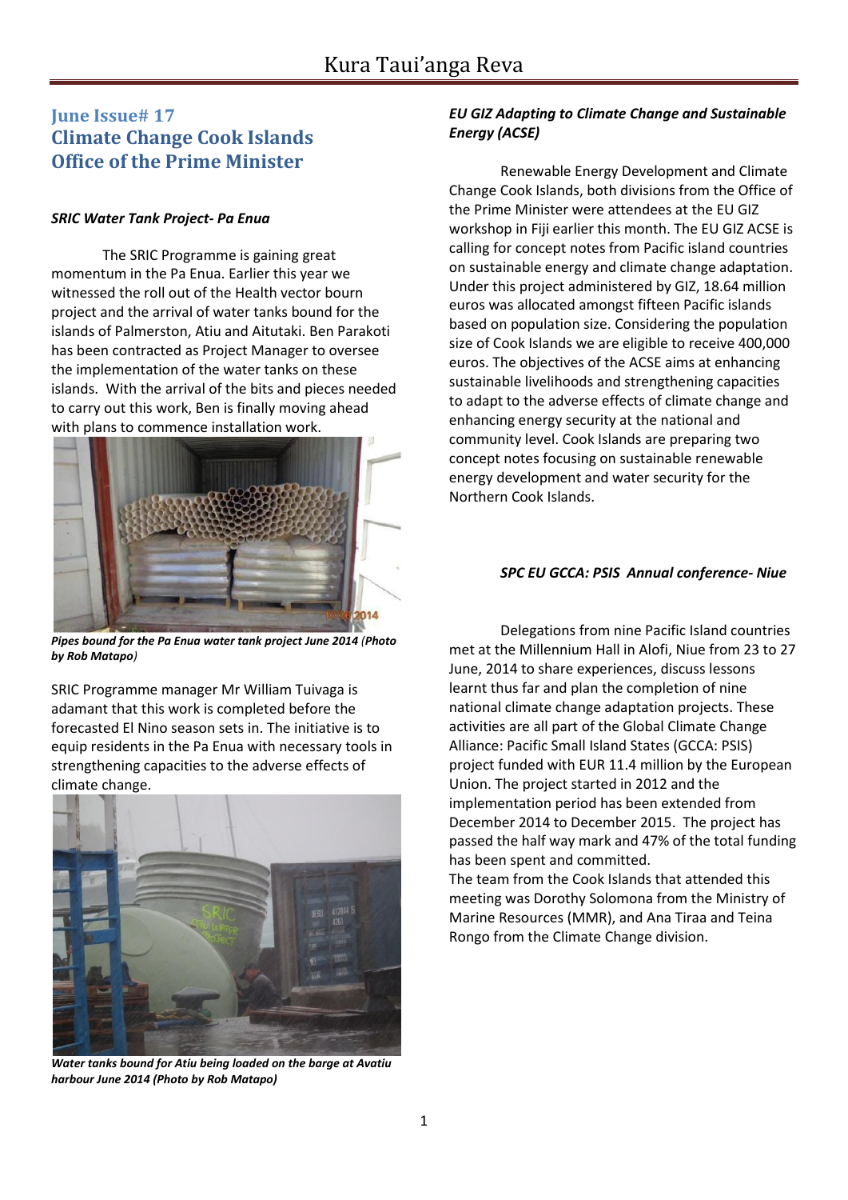# **June Issue# 17 Climate Change Cook Islands Office of the Prime Minister**

#### *SRIC Water Tank Project- Pa Enua*

The SRIC Programme is gaining great momentum in the Pa Enua. Earlier this year we witnessed the roll out of the Health vector bourn project and the arrival of water tanks bound for the islands of Palmerston, Atiu and Aitutaki. Ben Parakoti has been contracted as Project Manager to oversee the implementation of the water tanks on these islands. With the arrival of the bits and pieces needed to carry out this work, Ben is finally moving ahead with plans to commence installation work.



*Pipes bound for the Pa Enua water tank project June 2014 (Photo by Rob Matapo)*

SRIC Programme manager Mr William Tuivaga is adamant that this work is completed before the forecasted El Nino season sets in. The initiative is to equip residents in the Pa Enua with necessary tools in strengthening capacities to the adverse effects of climate change.



*Water tanks bound for Atiu being loaded on the barge at Avatiu harbour June 2014 (Photo by Rob Matapo)*

### *EU GIZ Adapting to Climate Change and Sustainable Energy (ACSE)*

Renewable Energy Development and Climate Change Cook Islands, both divisions from the Office of the Prime Minister were attendees at the EU GIZ workshop in Fiji earlier this month. The EU GIZ ACSE is calling for concept notes from Pacific island countries on sustainable energy and climate change adaptation. Under this project administered by GIZ, 18.64 million euros was allocated amongst fifteen Pacific islands based on population size. Considering the population size of Cook Islands we are eligible to receive 400,000 euros. The objectives of the ACSE aims at enhancing sustainable livelihoods and strengthening capacities to adapt to the adverse effects of climate change and enhancing energy security at the national and community level. Cook Islands are preparing two concept notes focusing on sustainable renewable energy development and water security for the Northern Cook Islands.

#### *SPC EU GCCA: PSIS Annual conference- Niue*

Delegations from nine Pacific Island countries met at the Millennium Hall in Alofi, Niue from 23 to 27 June, 2014 to share experiences, discuss lessons learnt thus far and plan the completion of nine national climate change adaptation projects. These activities are all part of the Global Climate Change Alliance: Pacific Small Island States (GCCA: PSIS) project funded with EUR 11.4 million by the European Union. The project started in 2012 and the implementation period has been extended from December 2014 to December 2015. The project has passed the half way mark and 47% of the total funding has been spent and committed.

The team from the Cook Islands that attended this meeting was Dorothy Solomona from the Ministry of Marine Resources (MMR), and Ana Tiraa and Teina Rongo from the Climate Change division.